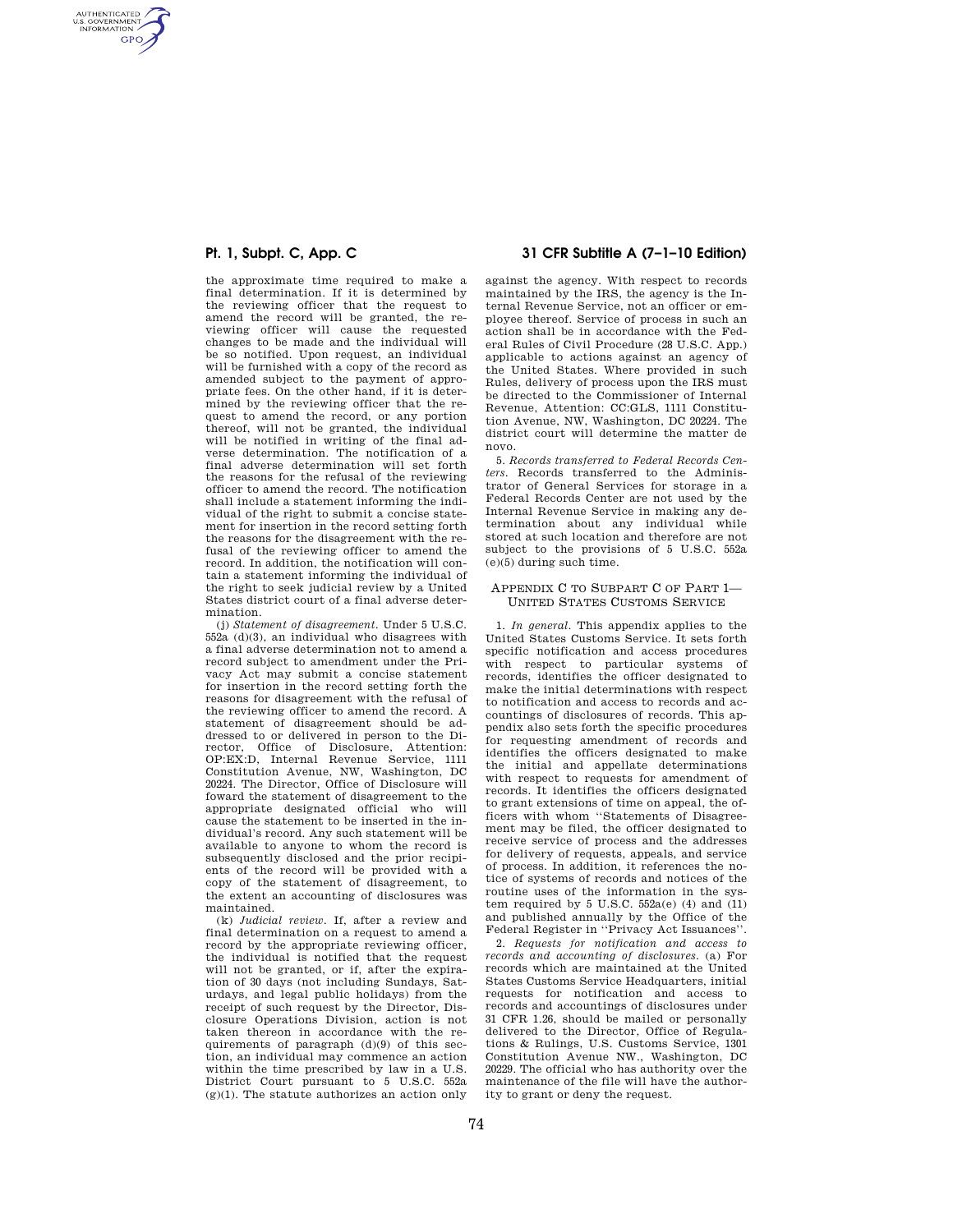AUTHENTICATED<br>U.S. GOVERNMENT<br>INFORMATION **GPO** 

> the approximate time required to make a final determination. If it is determined by the reviewing officer that the request to amend the record will be granted, the reviewing officer will cause the requested changes to be made and the individual will be so notified. Upon request, an individual will be furnished with a copy of the record as amended subject to the payment of appropriate fees. On the other hand, if it is determined by the reviewing officer that the request to amend the record, or any portion thereof, will not be granted, the individual will be notified in writing of the final adverse determination. The notification of a final adverse determination will set forth the reasons for the refusal of the reviewing officer to amend the record. The notification shall include a statement informing the individual of the right to submit a concise statement for insertion in the record setting forth the reasons for the disagreement with the refusal of the reviewing officer to amend the record. In addition, the notification will contain a statement informing the individual of the right to seek judicial review by a United States district court of a final adverse determination.

> (j) *Statement of disagreement.* Under 5 U.S.C. 552a (d)(3), an individual who disagrees with a final adverse determination not to amend a record subject to amendment under the Privacy Act may submit a concise statement for insertion in the record setting forth the reasons for disagreement with the refusal of the reviewing officer to amend the record. A statement of disagreement should be addressed to or delivered in person to the Director, Office of Disclosure, Attention: OP:EX:D, Internal Revenue Service, 1111 Constitution Avenue, NW, Washington, DC 20224. The Director, Office of Disclosure will foward the statement of disagreement to the appropriate designated official who will cause the statement to be inserted in the individual's record. Any such statement will be available to anyone to whom the record is subsequently disclosed and the prior recipients of the record will be provided with a copy of the statement of disagreement, to the extent an accounting of disclosures was maintained.

(k) *Judicial review.* If, after a review and final determination on a request to amend a record by the appropriate reviewing officer, the individual is notified that the request will not be granted, or if, after the expiration of 30 days (not including Sundays, Saturdays, and legal public holidays) from the receipt of such request by the Director, Disclosure Operations Division, action is not taken thereon in accordance with the requirements of paragraph (d)(9) of this section, an individual may commence an action within the time prescribed by law in a U.S. District Court pursuant to 5 U.S.C. 552a  $(g)(1)$ . The statute authorizes an action only

# **Pt. 1, Subpt. C, App. C 31 CFR Subtitle A (7–1–10 Edition)**

against the agency. With respect to records maintained by the IRS, the agency is the Internal Revenue Service, not an officer or employee thereof. Service of process in such an action shall be in accordance with the Federal Rules of Civil Procedure (28 U.S.C. App.) applicable to actions against an agency of the United States. Where provided in such Rules, delivery of process upon the IRS must be directed to the Commissioner of Internal Revenue, Attention: CC:GLS, 1111 Constitution Avenue, NW, Washington, DC 20224. The district court will determine the matter de novo.

5. *Records transferred to Federal Records Centers.* Records transferred to the Administrator of General Services for storage in a Federal Records Center are not used by the Internal Revenue Service in making any determination about any individual while stored at such location and therefore are not subject to the provisions of 5 U.S.C. 552a (e)(5) during such time.

### APPENDIX C TO SUBPART C OF PART 1— UNITED STATES CUSTOMS SERVICE

1. *In general.* This appendix applies to the United States Customs Service. It sets forth specific notification and access procedures with respect to particular systems of records, identifies the officer designated to make the initial determinations with respect to notification and access to records and accountings of disclosures of records. This appendix also sets forth the specific procedures for requesting amendment of records and identifies the officers designated to make the initial and appellate determinations with respect to requests for amendment of records. It identifies the officers designated to grant extensions of time on appeal, the officers with whom ''Statements of Disagreement may be filed, the officer designated to receive service of process and the addresses for delivery of requests, appeals, and service of process. In addition, it references the notice of systems of records and notices of the routine uses of the information in the system required by 5 U.S.C.  $552a(e)$  (4) and (11) and published annually by the Office of the Federal Register in ''Privacy Act Issuances''.

2. *Requests for notification and access to records and accounting of disclosures.* (a) For records which are maintained at the United States Customs Service Headquarters, initial requests for notification and access to records and accountings of disclosures under 31 CFR 1.26, should be mailed or personally delivered to the Director, Office of Regulations & Rulings, U.S. Customs Service, 1301 Constitution Avenue NW., Washington, DC 20229. The official who has authority over the maintenance of the file will have the authority to grant or deny the request.